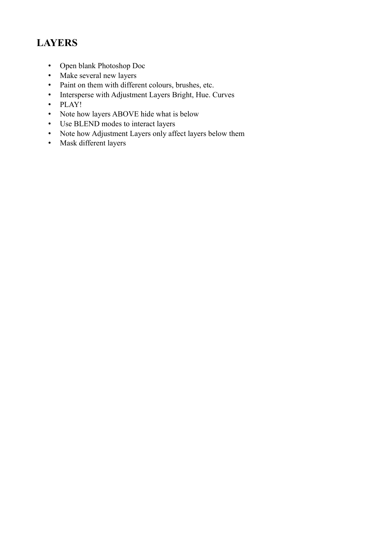# **LAYERS**

- Open blank Photoshop Doc
- Make several new layers
- Paint on them with different colours, brushes, etc.
- Intersperse with Adjustment Layers Bright, Hue. Curves
- PLAY!
- Note how layers ABOVE hide what is below
- Use BLEND modes to interact layers
- Note how Adjustment Layers only affect layers below them
- Mask different layers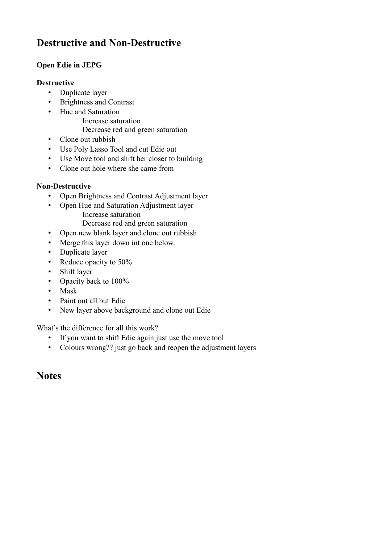# **Destructive and Non-Destructive**

### **Open Edie in JEPG**

#### **Destructive**

- Duplicate layer
- Brightness and Contrast
- Hue and Saturation
	- Increase saturation
	- Decrease red and green saturation
- Clone out rubbish
- Use Poly Lasso Tool and cut Edie out
- Use Move tool and shift her closer to building
- Clone out hole where she came from

#### **Non-Destructive**

- Open Brightness and Contrast Adjustment layer
- Open Hue and Saturation Adjustment layer Increase saturation
	- Decrease red and green saturation
- Open new blank layer and clone out rubbish
- Merge this layer down int one below.
- Duplicate layer
- Reduce opacity to 50%
- Shift layer
- Opacity back to 100%
- Mask
- Paint out all but Edie
- New layer above background and clone out Edie

What's the difference for all this work?

- If you want to shift Edie again just use the move tool
- Colours wrong?? just go back and reopen the adjustment layers

### **Notes**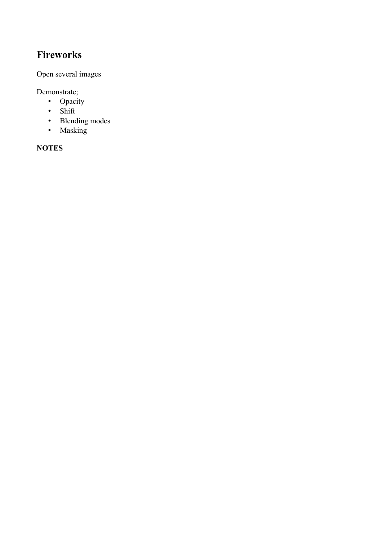## **Fireworks**

Open several images

Demonstrate;

- Opacity
- Shift
- Blending modes
- Masking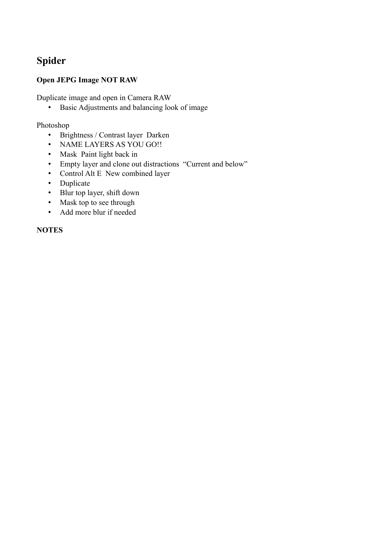## **Spider**

### **Open JEPG Image NOT RAW**

Duplicate image and open in Camera RAW

• Basic Adjustments and balancing look of image

#### Photoshop

- Brightness / Contrast layer Darken
- NAME LAYERS AS YOU GO!!
- Mask Paint light back in
- Empty layer and clone out distractions "Current and below"
- Control Alt E New combined layer
- Duplicate
- Blur top layer, shift down
- Mask top to see through
- Add more blur if needed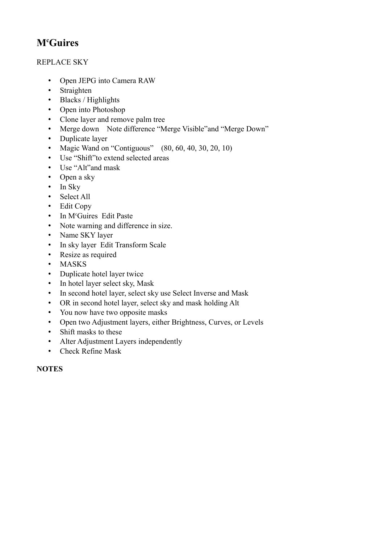# **M<sup>c</sup>Guires**

### REPLACE SKY

- Open JEPG into Camera RAW
- Straighten
- Blacks / Highlights
- Open into Photoshop
- Clone layer and remove palm tree
- Merge down Note difference "Merge Visible"and "Merge Down"
- Duplicate layer
- Magic Wand on "Contiguous" (80, 60, 40, 30, 20, 10)
- Use "Shift"to extend selected areas
- Use "Alt"and mask
- Open a sky
- In Sky
- Select All
- Edit Copy
- In M<sup>c</sup>Guires Edit Paste
- Note warning and difference in size.
- Name SKY layer
- In sky layer Edit Transform Scale
- Resize as required
- MASKS
- Duplicate hotel layer twice
- In hotel layer select sky, Mask
- In second hotel layer, select sky use Select Inverse and Mask
- OR in second hotel layer, select sky and mask holding Alt
- You now have two opposite masks
- Open two Adjustment layers, either Brightness, Curves, or Levels
- Shift masks to these
- Alter Adjustment Layers independently
- Check Refine Mask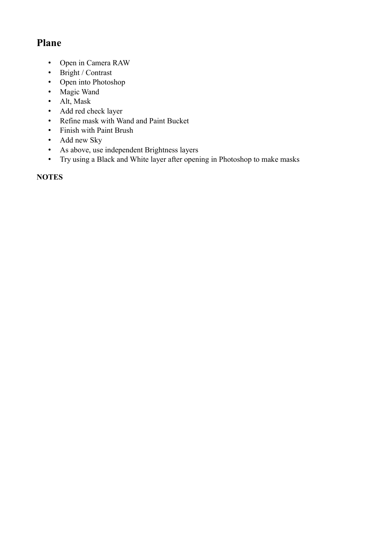# **Plane**

- Open in Camera RAW
- Bright / Contrast
- Open into Photoshop
- Magic Wand
- Alt, Mask
- Add red check layer
- Refine mask with Wand and Paint Bucket
- Finish with Paint Brush
- Add new Sky
- As above, use independent Brightness layers
- Try using a Black and White layer after opening in Photoshop to make masks